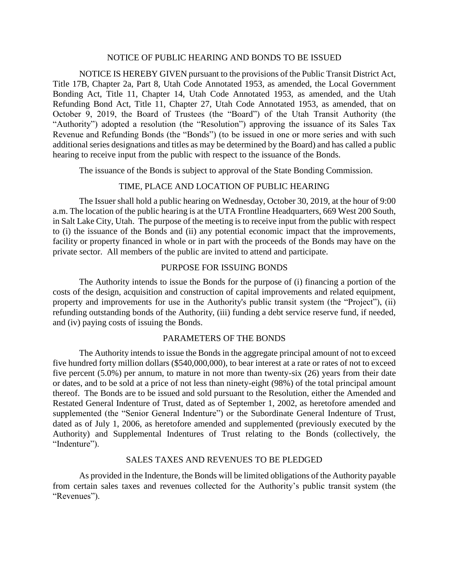### NOTICE OF PUBLIC HEARING AND BONDS TO BE ISSUED

NOTICE IS HEREBY GIVEN pursuant to the provisions of the Public Transit District Act, Title 17B, Chapter 2a, Part 8, Utah Code Annotated 1953, as amended, the Local Government Bonding Act, Title 11, Chapter 14, Utah Code Annotated 1953, as amended, and the Utah Refunding Bond Act, Title 11, Chapter 27, Utah Code Annotated 1953, as amended, that on October 9, 2019, the Board of Trustees (the "Board") of the Utah Transit Authority (the "Authority") adopted a resolution (the "Resolution") approving the issuance of its Sales Tax Revenue and Refunding Bonds (the "Bonds") (to be issued in one or more series and with such additional series designations and titles as may be determined by the Board) and has called a public hearing to receive input from the public with respect to the issuance of the Bonds.

The issuance of the Bonds is subject to approval of the State Bonding Commission.

# TIME, PLACE AND LOCATION OF PUBLIC HEARING

The Issuer shall hold a public hearing on Wednesday, October 30, 2019, at the hour of 9:00 a.m. The location of the public hearing is at the UTA Frontline Headquarters, 669 West 200 South, in Salt Lake City, Utah. The purpose of the meeting is to receive input from the public with respect to (i) the issuance of the Bonds and (ii) any potential economic impact that the improvements, facility or property financed in whole or in part with the proceeds of the Bonds may have on the private sector. All members of the public are invited to attend and participate.

### PURPOSE FOR ISSUING BONDS

The Authority intends to issue the Bonds for the purpose of (i) financing a portion of the costs of the design, acquisition and construction of capital improvements and related equipment, property and improvements for use in the Authority's public transit system (the "Project"), (ii) refunding outstanding bonds of the Authority, (iii) funding a debt service reserve fund, if needed, and (iv) paying costs of issuing the Bonds.

# PARAMETERS OF THE BONDS

The Authority intends to issue the Bonds in the aggregate principal amount of not to exceed five hundred forty million dollars (\$540,000,000), to bear interest at a rate or rates of not to exceed five percent (5.0%) per annum, to mature in not more than twenty-six (26) years from their date or dates, and to be sold at a price of not less than ninety-eight (98%) of the total principal amount thereof. The Bonds are to be issued and sold pursuant to the Resolution, either the Amended and Restated General Indenture of Trust, dated as of September 1, 2002, as heretofore amended and supplemented (the "Senior General Indenture") or the Subordinate General Indenture of Trust, dated as of July 1, 2006, as heretofore amended and supplemented (previously executed by the Authority) and Supplemental Indentures of Trust relating to the Bonds (collectively, the "Indenture").

## SALES TAXES AND REVENUES TO BE PLEDGED

As provided in the Indenture, the Bonds will be limited obligations of the Authority payable from certain sales taxes and revenues collected for the Authority's public transit system (the "Revenues").